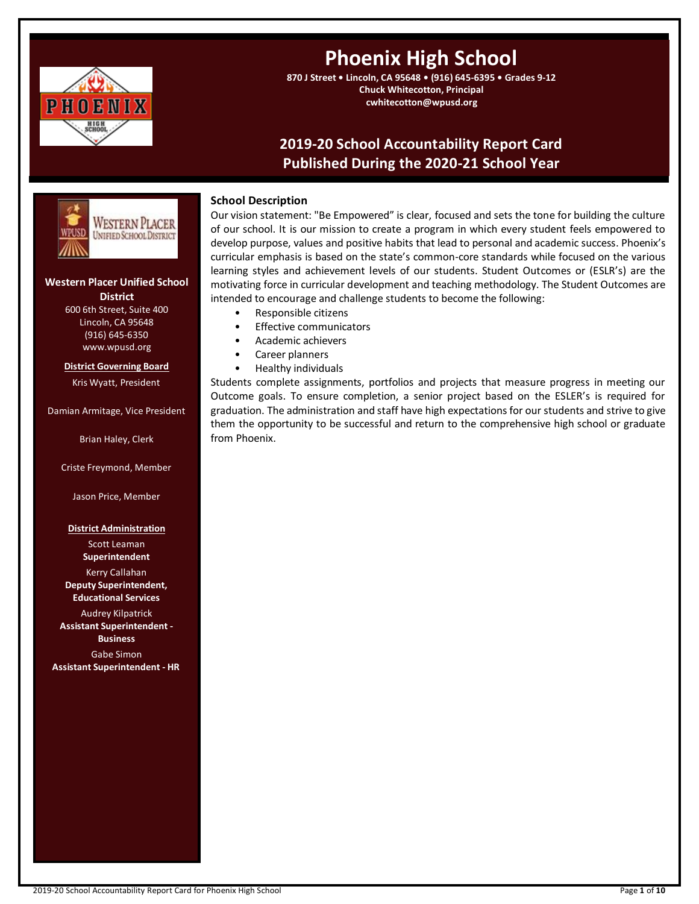

# **Phoenix High School**

**870 J Street • Lincoln, CA 95648 • (916) 645-6395 • Grades 9-12 Chuck Whitecotton, Principal cwhitecotton@wpusd.org**

# **2019-20 School Accountability Report Card Published During the 2020-21 School Year**



# **Western Placer Unified School District**

600 6th Street, Suite 400 Lincoln, CA 95648 (916) 645-6350 www.wpusd.org

**District Governing Board** Kris Wyatt, President

Damian Armitage, Vice President

Brian Haley, Clerk

Criste Freymond, Member

Jason Price, Member

# **District Administration**

Scott Leaman **Superintendent**

Kerry Callahan **Deputy Superintendent, Educational Services**

Audrey Kilpatrick **Assistant Superintendent - Business** Gabe Simon **Assistant Superintendent - HR**

# **School Description**

Our vision statement: "Be Empowered" is clear, focused and sets the tone for building the culture of our school. It is our mission to create a program in which every student feels empowered to develop purpose, values and positive habits that lead to personal and academic success. Phoenix's curricular emphasis is based on the state's common-core standards while focused on the various learning styles and achievement levels of our students. Student Outcomes or (ESLR's) are the motivating force in curricular development and teaching methodology. The Student Outcomes are intended to encourage and challenge students to become the following:

- Responsible citizens
- Effective communicators
- Academic achievers
- Career planners
- Healthy individuals

Students complete assignments, portfolios and projects that measure progress in meeting our Outcome goals. To ensure completion, a senior project based on the ESLER's is required for graduation. The administration and staff have high expectations for our students and strive to give them the opportunity to be successful and return to the comprehensive high school or graduate from Phoenix.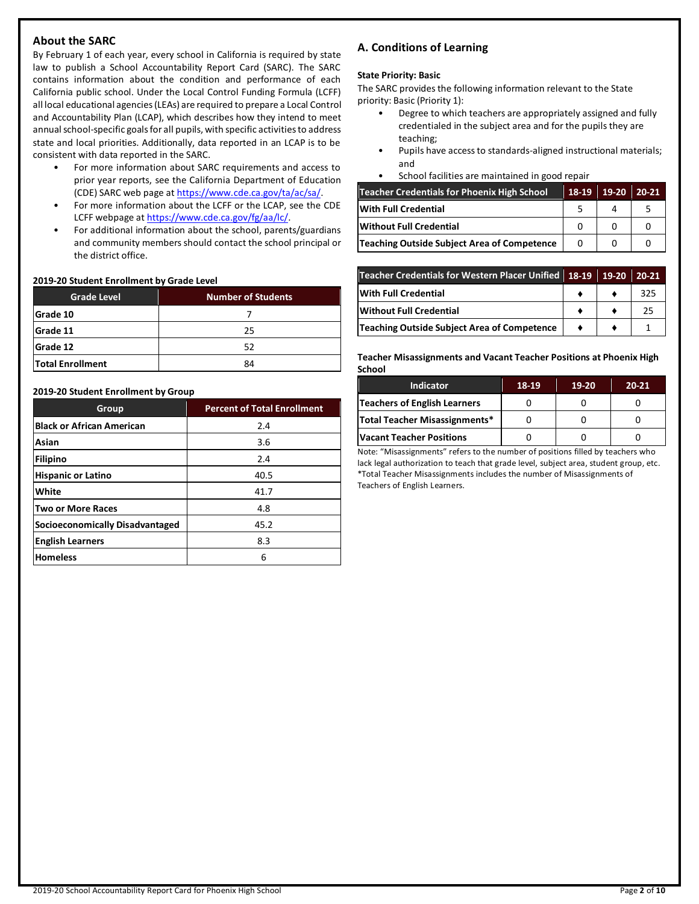# **About the SARC**

By February 1 of each year, every school in California is required by state law to publish a School Accountability Report Card (SARC). The SARC contains information about the condition and performance of each California public school. Under the Local Control Funding Formula (LCFF) all local educational agencies (LEAs) are required to prepare a Local Control and Accountability Plan (LCAP), which describes how they intend to meet annual school-specific goals for all pupils, with specific activities to address state and local priorities. Additionally, data reported in an LCAP is to be consistent with data reported in the SARC.

- For more information about SARC requirements and access to prior year reports, see the California Department of Education (CDE) SARC web page at [https://www.cde.ca.gov/ta/ac/sa/.](https://www.cde.ca.gov/ta/ac/sa/)
- For more information about the LCFF or the LCAP, see the CDE LCFF webpage a[t https://www.cde.ca.gov/fg/aa/lc/.](https://www.cde.ca.gov/fg/aa/lc/)
- For additional information about the school, parents/guardians and community members should contact the school principal or the district office.

# **2019-20 Student Enrollment by Grade Level**

| <b>Grade Level</b>      | <b>Number of Students</b> |  |  |  |
|-------------------------|---------------------------|--|--|--|
| Grade 10                |                           |  |  |  |
| Grade 11                | 25                        |  |  |  |
| <b>Grade 12</b>         | 52                        |  |  |  |
| <b>Total Enrollment</b> | 84                        |  |  |  |

#### **2019-20 Student Enrollment by Group**

| Group                                  | <b>Percent of Total Enrollment</b> |
|----------------------------------------|------------------------------------|
| <b>Black or African American</b>       | 2.4                                |
| Asian                                  | 3.6                                |
| <b>Filipino</b>                        | 2.4                                |
| <b>Hispanic or Latino</b>              | 40.5                               |
| White                                  | 41.7                               |
| Two or More Races                      | 4.8                                |
| <b>Socioeconomically Disadvantaged</b> | 45.2                               |
| <b>English Learners</b>                | 8.3                                |
| <b>Homeless</b>                        | 6                                  |

# **A. Conditions of Learning**

#### **State Priority: Basic**

The SARC provides the following information relevant to the State priority: Basic (Priority 1):

- Degree to which teachers are appropriately assigned and fully credentialed in the subject area and for the pupils they are teaching;
- Pupils have access to standards-aligned instructional materials; and
- School facilities are maintained in good repair

| Teacher Credentials for Phoenix High School | 18-19 | 19-20 | 20-21 |
|---------------------------------------------|-------|-------|-------|
| <b>With Full Credential</b>                 |       |       |       |
| Without Full Credential                     |       |       |       |
| Teaching Outside Subject Area of Competence |       |       |       |

| Teacher Credentials for Western Placer Unified 18-19 19-20 |  | 20-21 |
|------------------------------------------------------------|--|-------|
| <b>With Full Credential</b>                                |  | 325   |
| <b>Without Full Credential</b>                             |  | 25    |
| Teaching Outside Subject Area of Competence                |  |       |

**Teacher Misassignments and Vacant Teacher Positions at Phoenix High School**

| <b>Indicator</b>                | 18-19 | 19-20 | $20 - 21$ |
|---------------------------------|-------|-------|-----------|
| Teachers of English Learners    |       |       |           |
| Total Teacher Misassignments*   |       |       |           |
| <b>Vacant Teacher Positions</b> |       |       |           |

Note: "Misassignments" refers to the number of positions filled by teachers who lack legal authorization to teach that grade level, subject area, student group, etc. \*Total Teacher Misassignments includes the number of Misassignments of Teachers of English Learners.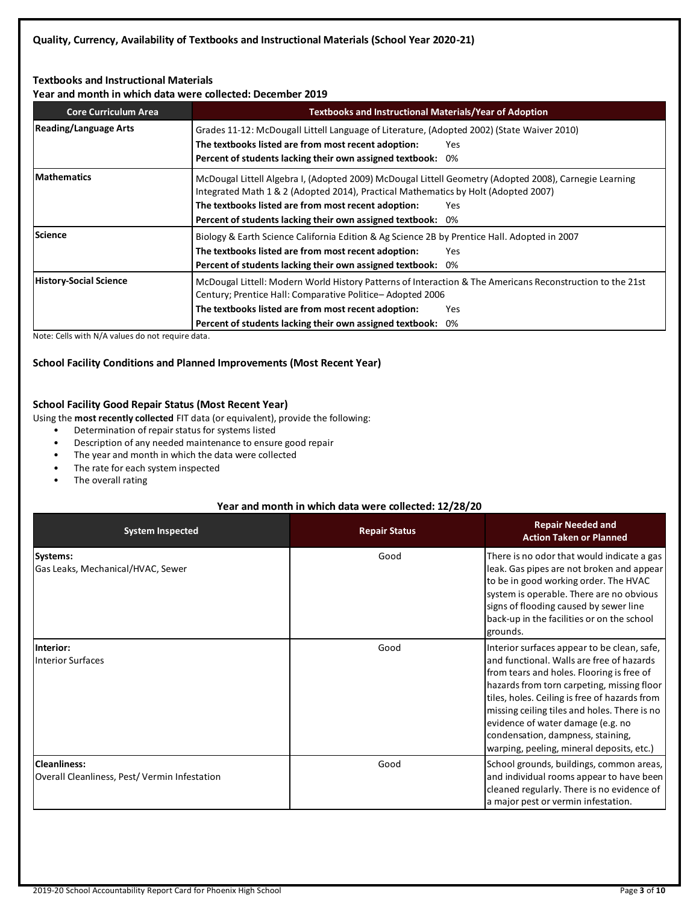# **Textbooks and Instructional Materials**

**Year and month in which data were collected: December 2019**

| <b>Core Curriculum Area</b>   | <b>Textbooks and Instructional Materials/Year of Adoption</b>                                                                                                                                                                                                                                                              |  |  |  |  |
|-------------------------------|----------------------------------------------------------------------------------------------------------------------------------------------------------------------------------------------------------------------------------------------------------------------------------------------------------------------------|--|--|--|--|
| <b>Reading/Language Arts</b>  | Grades 11-12: McDougall Littell Language of Literature, (Adopted 2002) (State Waiver 2010)<br>The textbooks listed are from most recent adoption:<br>Yes<br>Percent of students lacking their own assigned textbook:<br>0%                                                                                                 |  |  |  |  |
| <b>Mathematics</b>            | McDougal Littell Algebra I, (Adopted 2009) McDougal Littell Geometry (Adopted 2008), Carnegie Learning<br>Integrated Math 1 & 2 (Adopted 2014), Practical Mathematics by Holt (Adopted 2007)<br>The textbooks listed are from most recent adoption:<br>Yes.<br>Percent of students lacking their own assigned textbook: 0% |  |  |  |  |
| Science                       | Biology & Earth Science California Edition & Ag Science 2B by Prentice Hall. Adopted in 2007<br>The textbooks listed are from most recent adoption:<br>Yes<br>Percent of students lacking their own assigned textbook:<br>0%                                                                                               |  |  |  |  |
| <b>History-Social Science</b> | McDougal Littell: Modern World History Patterns of Interaction & The Americans Reconstruction to the 21st<br>Century; Prentice Hall: Comparative Politice-Adopted 2006<br>The textbooks listed are from most recent adoption:<br><b>Yes</b><br>Percent of students lacking their own assigned textbook:<br>0%              |  |  |  |  |

Note: Cells with N/A values do not require data.

# **School Facility Conditions and Planned Improvements (Most Recent Year)**

# **School Facility Good Repair Status (Most Recent Year)**

Using the **most recently collected** FIT data (or equivalent), provide the following:

- Determination of repair status for systems listed
- Description of any needed maintenance to ensure good repair
- The year and month in which the data were collected
- The rate for each system inspected
- The overall rating

# **Year and month in which data were collected: 12/28/20**

| <b>System Inspected</b>                                             | <b>Repair Status</b> | <b>Repair Needed and</b><br><b>Action Taken or Planned</b>                                                                                                                                                                                                                                                                                                                                                   |
|---------------------------------------------------------------------|----------------------|--------------------------------------------------------------------------------------------------------------------------------------------------------------------------------------------------------------------------------------------------------------------------------------------------------------------------------------------------------------------------------------------------------------|
| Systems:<br>Gas Leaks, Mechanical/HVAC, Sewer                       | Good                 | There is no odor that would indicate a gas<br>leak. Gas pipes are not broken and appear<br>to be in good working order. The HVAC<br>system is operable. There are no obvious<br>signs of flooding caused by sewer line<br>back-up in the facilities or on the school<br>grounds.                                                                                                                             |
| Interior:<br>Interior Surfaces                                      | Good                 | Interior surfaces appear to be clean, safe,<br>land functional. Walls are free of hazards<br>from tears and holes. Flooring is free of<br>hazards from torn carpeting, missing floor<br>tiles, holes. Ceiling is free of hazards from<br>missing ceiling tiles and holes. There is no<br>evidence of water damage (e.g. no<br>condensation, dampness, staining,<br>warping, peeling, mineral deposits, etc.) |
| <b>Cleanliness:</b><br>Overall Cleanliness, Pest/Vermin Infestation | Good                 | School grounds, buildings, common areas,<br>and individual rooms appear to have been<br>cleaned regularly. There is no evidence of<br>a major pest or vermin infestation.                                                                                                                                                                                                                                    |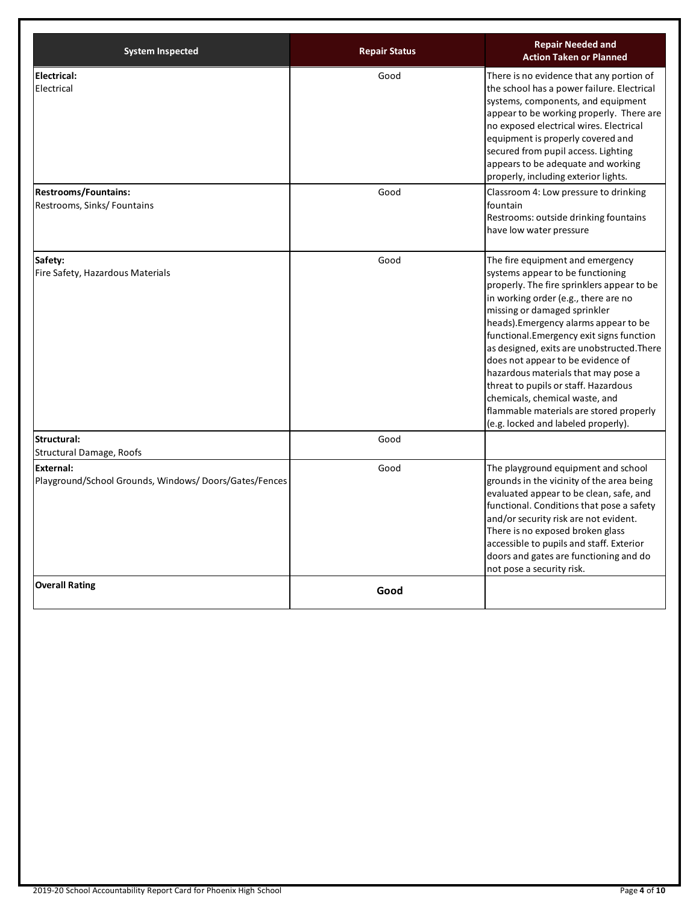| <b>System Inspected</b>                                                   | <b>Repair Status</b> | <b>Repair Needed and</b><br><b>Action Taken or Planned</b>                                                                                                                                                                                                                                                                                                                                                                                                                                                                                                             |
|---------------------------------------------------------------------------|----------------------|------------------------------------------------------------------------------------------------------------------------------------------------------------------------------------------------------------------------------------------------------------------------------------------------------------------------------------------------------------------------------------------------------------------------------------------------------------------------------------------------------------------------------------------------------------------------|
| <b>Electrical:</b><br>Electrical                                          | Good                 | There is no evidence that any portion of<br>the school has a power failure. Electrical<br>systems, components, and equipment<br>appear to be working properly. There are<br>no exposed electrical wires. Electrical<br>equipment is properly covered and<br>secured from pupil access. Lighting<br>appears to be adequate and working<br>properly, including exterior lights.                                                                                                                                                                                          |
| <b>Restrooms/Fountains:</b><br>Restrooms, Sinks/ Fountains                | Good                 | Classroom 4: Low pressure to drinking<br>fountain<br>Restrooms: outside drinking fountains<br>have low water pressure                                                                                                                                                                                                                                                                                                                                                                                                                                                  |
| Safety:<br>Fire Safety, Hazardous Materials                               | Good                 | The fire equipment and emergency<br>systems appear to be functioning<br>properly. The fire sprinklers appear to be<br>in working order (e.g., there are no<br>missing or damaged sprinkler<br>heads). Emergency alarms appear to be<br>functional. Emergency exit signs function<br>as designed, exits are unobstructed. There<br>does not appear to be evidence of<br>hazardous materials that may pose a<br>threat to pupils or staff. Hazardous<br>chemicals, chemical waste, and<br>flammable materials are stored properly<br>(e.g. locked and labeled properly). |
| Structural:<br>Structural Damage, Roofs                                   | Good                 |                                                                                                                                                                                                                                                                                                                                                                                                                                                                                                                                                                        |
| <b>External:</b><br>Playground/School Grounds, Windows/Doors/Gates/Fences | Good                 | The playground equipment and school<br>grounds in the vicinity of the area being<br>evaluated appear to be clean, safe, and<br>functional. Conditions that pose a safety<br>and/or security risk are not evident.<br>There is no exposed broken glass<br>accessible to pupils and staff. Exterior<br>doors and gates are functioning and do<br>not pose a security risk.                                                                                                                                                                                               |
| <b>Overall Rating</b>                                                     | Good                 |                                                                                                                                                                                                                                                                                                                                                                                                                                                                                                                                                                        |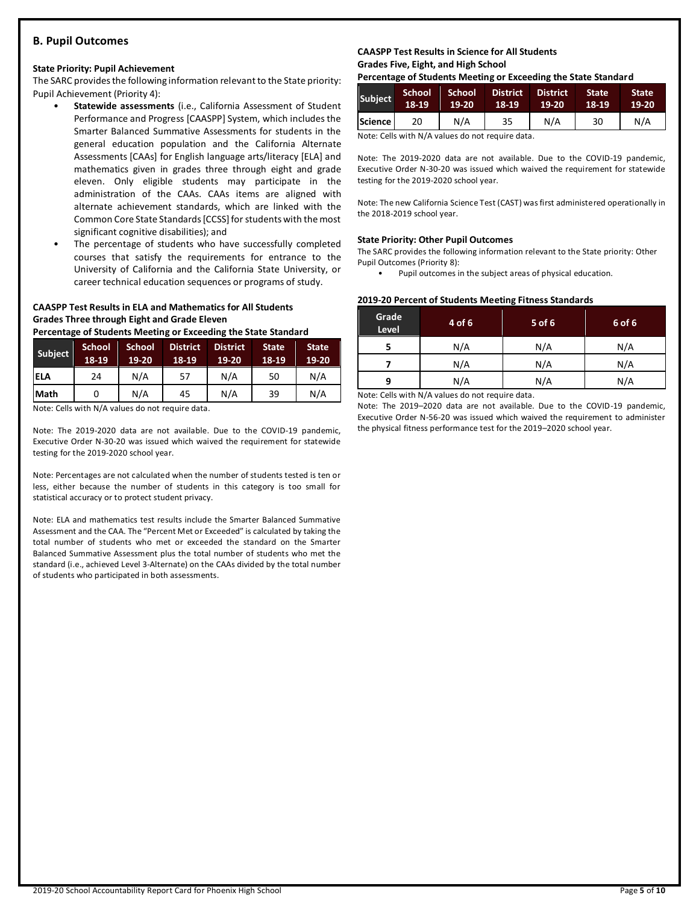# **B. Pupil Outcomes**

#### **State Priority: Pupil Achievement**

The SARC provides the following information relevant to the State priority: Pupil Achievement (Priority 4):

- **Statewide assessments** (i.e., California Assessment of Student Performance and Progress [CAASPP] System, which includes the Smarter Balanced Summative Assessments for students in the general education population and the California Alternate Assessments [CAAs] for English language arts/literacy [ELA] and mathematics given in grades three through eight and grade eleven. Only eligible students may participate in the administration of the CAAs. CAAs items are aligned with alternate achievement standards, which are linked with the Common Core State Standards [CCSS] for students with the most significant cognitive disabilities); and
- The percentage of students who have successfully completed courses that satisfy the requirements for entrance to the University of California and the California State University, or career technical education sequences or programs of study.

# **CAASPP Test Results in ELA and Mathematics for All Students Grades Three through Eight and Grade Eleven**

**Percentage of Students Meeting or Exceeding the State Standard**

| Subject     | <b>School</b><br>18-19 | <b>School</b><br>19-20 | <b>District</b><br>18-19 | <b>District</b><br>$19-20$ | <b>State</b><br>18-19 | <b>State</b><br>$19-20$ |
|-------------|------------------------|------------------------|--------------------------|----------------------------|-----------------------|-------------------------|
| <b>ELA</b>  | 24                     | N/A                    | 57                       | N/A                        | 50                    | N/A                     |
| <b>Math</b> |                        | N/A                    | 45                       | N/A                        | 39                    | N/A                     |

Note: Cells with N/A values do not require data.

Note: The 2019-2020 data are not available. Due to the COVID-19 pandemic, Executive Order N-30-20 was issued which waived the requirement for statewide testing for the 2019-2020 school year.

Note: Percentages are not calculated when the number of students tested is ten or less, either because the number of students in this category is too small for statistical accuracy or to protect student privacy.

Note: ELA and mathematics test results include the Smarter Balanced Summative Assessment and the CAA. The "Percent Met or Exceeded" is calculated by taking the total number of students who met or exceeded the standard on the Smarter Balanced Summative Assessment plus the total number of students who met the standard (i.e., achieved Level 3-Alternate) on the CAAs divided by the total number of students who participated in both assessments.

# **CAASPP Test Results in Science for All Students Grades Five, Eight, and High School**

**Percentage of Students Meeting or Exceeding the State Standard**

| <b>Subject</b> | <b>School</b><br>18-19 | <b>School</b><br>$19-20$ | <b>District</b><br>18-19 | <b>District</b><br>19-20 | <b>State</b><br>18-19 | <b>State</b><br>19-20 |
|----------------|------------------------|--------------------------|--------------------------|--------------------------|-----------------------|-----------------------|
| Science        | 20                     | N/A                      | 35                       | N/A                      | 30                    | N/A                   |

Note: Cells with N/A values do not require data.

Note: The 2019-2020 data are not available. Due to the COVID-19 pandemic, Executive Order N-30-20 was issued which waived the requirement for statewide testing for the 2019-2020 school year.

Note: The new California Science Test (CAST) was first administered operationally in the 2018-2019 school year.

#### **State Priority: Other Pupil Outcomes**

The SARC provides the following information relevant to the State priority: Other Pupil Outcomes (Priority 8):

Pupil outcomes in the subject areas of physical education.

#### **2019-20 Percent of Students Meeting Fitness Standards**

| Grade<br>Level | 4 of 6 | $5$ of 6 | 6 of 6 |
|----------------|--------|----------|--------|
|                | N/A    | N/A      | N/A    |
|                | N/A    | N/A      | N/A    |
| q              | N/A    | N/A      | N/A    |

Note: Cells with N/A values do not require data.

Note: The 2019–2020 data are not available. Due to the COVID-19 pandemic, Executive Order N-56-20 was issued which waived the requirement to administer the physical fitness performance test for the 2019–2020 school year.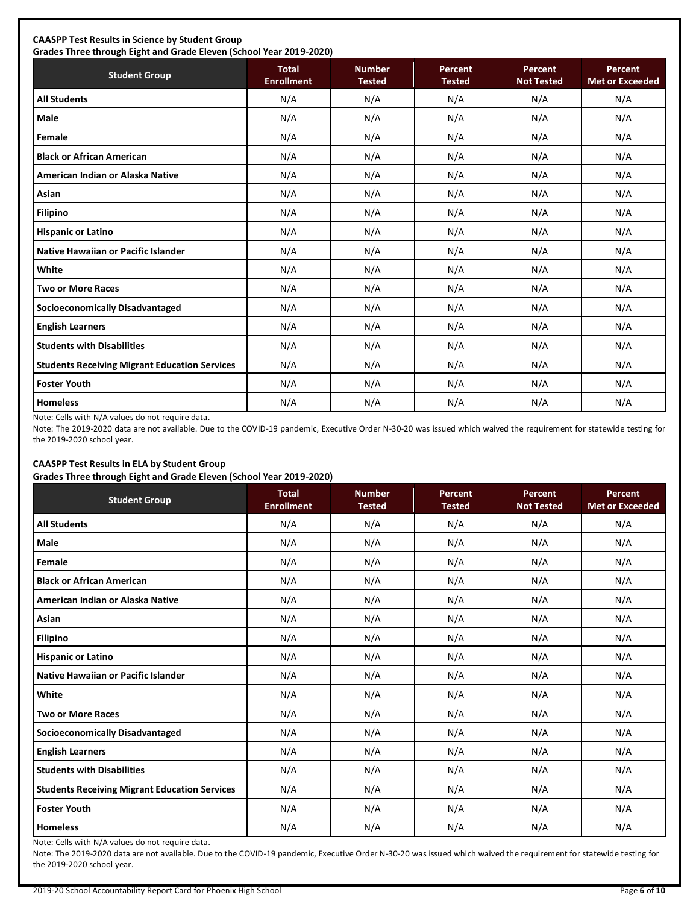# **CAASPP Test Results in Science by Student Group**

**Grades Three through Eight and Grade Eleven (School Year 2019-2020) Student Group Total Total Enrollment Number Tested Percent Tested Percent Not Tested Percent Met or Exceeded All Students** N/A N/A N/A N/A N/A **Male** N/A N/A N/A N/A N/A **Female** N/A N/A N/A N/A N/A **Black or African American** N/A N/A N/A N/A N/A **American Indian or Alaska Native** N/A N/A N/A N/A N/A **Asian** N/A N/A N/A N/A N/A **Filipino** N/A N/A N/A N/A N/A **Hispanic or Latino N/A N/A N/A N/A** N/A **Native Hawaiian or Pacific Islander**  $\begin{vmatrix} N/A & N/A & N/A & N/A \end{vmatrix}$  N/A N/A N/A N/A **White** N/A N/A N/A N/A N/A **Two or More Races** N/A N/A N/A N/A N/A **Socioeconomically Disadvantaged** N/A N/A N/A N/A N/A **English Learners** N/A N/A N/A N/A N/A **Students with Disabilities** N/A N/A N/A N/A N/A **Students Receiving Migrant Education Services | N/A | N/A | N/A | N/A | N/A | N/A Foster Youth** N/A N/A N/A N/A N/A **Homeless** N/A N/A N/A N/A N/A

Note: Cells with N/A values do not require data.

Note: The 2019-2020 data are not available. Due to the COVID-19 pandemic, Executive Order N-30-20 was issued which waived the requirement for statewide testing for the 2019-2020 school year.

# **CAASPP Test Results in ELA by Student Group**

**Grades Three through Eight and Grade Eleven (School Year 2019-2020)**

| <b>Student Group</b>                                 | - .<br><b>Total</b><br><b>Enrollment</b> | <b>Number</b><br><b>Tested</b> | <b>Percent</b><br><b>Tested</b> | Percent<br><b>Not Tested</b> | Percent<br><b>Met or Exceeded</b> |
|------------------------------------------------------|------------------------------------------|--------------------------------|---------------------------------|------------------------------|-----------------------------------|
| <b>All Students</b>                                  | N/A                                      | N/A                            | N/A                             | N/A                          | N/A                               |
| Male                                                 | N/A                                      | N/A                            | N/A                             | N/A                          | N/A                               |
| Female                                               | N/A                                      | N/A                            | N/A                             | N/A                          | N/A                               |
| <b>Black or African American</b>                     | N/A                                      | N/A                            | N/A                             | N/A                          | N/A                               |
| American Indian or Alaska Native                     | N/A                                      | N/A                            | N/A                             | N/A                          | N/A                               |
| Asian                                                | N/A                                      | N/A                            | N/A                             | N/A                          | N/A                               |
| <b>Filipino</b>                                      | N/A                                      | N/A                            | N/A                             | N/A                          | N/A                               |
| <b>Hispanic or Latino</b>                            | N/A                                      | N/A                            | N/A                             | N/A                          | N/A                               |
| <b>Native Hawaiian or Pacific Islander</b>           | N/A                                      | N/A                            | N/A                             | N/A                          | N/A                               |
| White                                                | N/A                                      | N/A                            | N/A                             | N/A                          | N/A                               |
| <b>Two or More Races</b>                             | N/A                                      | N/A                            | N/A                             | N/A                          | N/A                               |
| <b>Socioeconomically Disadvantaged</b>               | N/A                                      | N/A                            | N/A                             | N/A                          | N/A                               |
| <b>English Learners</b>                              | N/A                                      | N/A                            | N/A                             | N/A                          | N/A                               |
| <b>Students with Disabilities</b>                    | N/A                                      | N/A                            | N/A                             | N/A                          | N/A                               |
| <b>Students Receiving Migrant Education Services</b> | N/A                                      | N/A                            | N/A                             | N/A                          | N/A                               |
| <b>Foster Youth</b>                                  | N/A                                      | N/A                            | N/A                             | N/A                          | N/A                               |
| <b>Homeless</b>                                      | N/A                                      | N/A                            | N/A                             | N/A                          | N/A                               |

Note: Cells with N/A values do not require data.

Note: The 2019-2020 data are not available. Due to the COVID-19 pandemic, Executive Order N-30-20 was issued which waived the requirement for statewide testing for the 2019-2020 school year.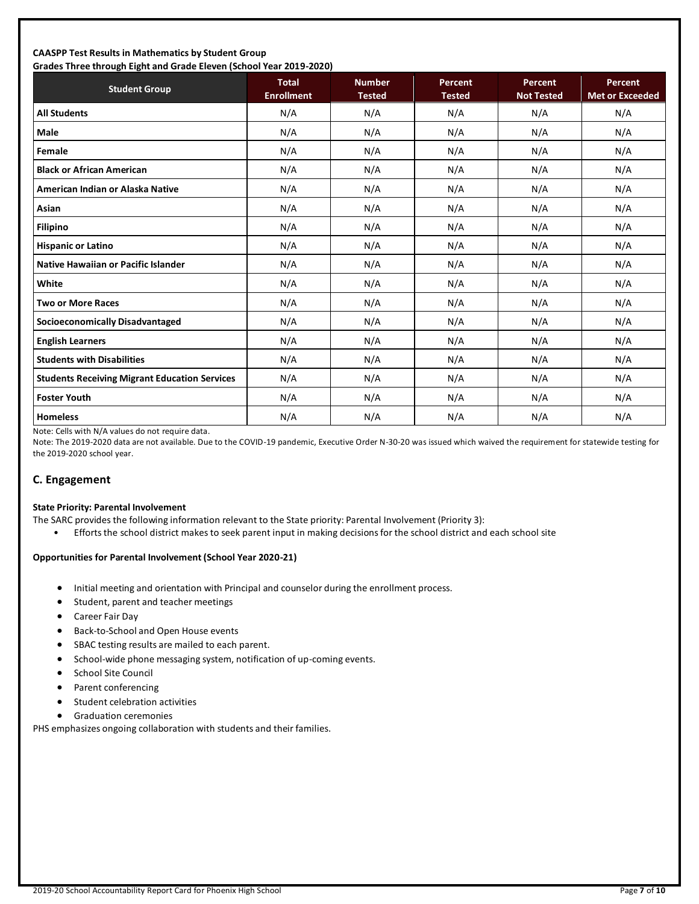#### **CAASPP Test Results in Mathematics by Student Group Grades Three through Eight and Grade Eleven (School Year 2019-2020)**

| Grades Trifee through Eight and Grade Eleven (Schoor fear 2015-2020)<br><b>Student Group</b> | <b>Total</b><br><b>Enrollment</b> | <b>Number</b><br><b>Tested</b> | Percent<br><b>Tested</b> | <b>Percent</b><br><b>Not Tested</b> | Percent<br><b>Met or Exceeded</b> |
|----------------------------------------------------------------------------------------------|-----------------------------------|--------------------------------|--------------------------|-------------------------------------|-----------------------------------|
| <b>All Students</b>                                                                          | N/A                               | N/A                            | N/A                      | N/A                                 | N/A                               |
| <b>Male</b>                                                                                  | N/A                               | N/A                            | N/A                      | N/A                                 | N/A                               |
| Female                                                                                       | N/A                               | N/A                            | N/A                      | N/A                                 | N/A                               |
| <b>Black or African American</b>                                                             | N/A                               | N/A                            | N/A                      | N/A                                 | N/A                               |
| American Indian or Alaska Native                                                             | N/A                               | N/A                            | N/A                      | N/A                                 | N/A                               |
| Asian                                                                                        | N/A                               | N/A                            | N/A                      | N/A                                 | N/A                               |
| <b>Filipino</b>                                                                              | N/A                               | N/A                            | N/A                      | N/A                                 | N/A                               |
| <b>Hispanic or Latino</b>                                                                    | N/A                               | N/A                            | N/A                      | N/A                                 | N/A                               |
| <b>Native Hawaiian or Pacific Islander</b>                                                   | N/A                               | N/A                            | N/A                      | N/A                                 | N/A                               |
| White                                                                                        | N/A                               | N/A                            | N/A                      | N/A                                 | N/A                               |
| <b>Two or More Races</b>                                                                     | N/A                               | N/A                            | N/A                      | N/A                                 | N/A                               |
| <b>Socioeconomically Disadvantaged</b>                                                       | N/A                               | N/A                            | N/A                      | N/A                                 | N/A                               |
| <b>English Learners</b>                                                                      | N/A                               | N/A                            | N/A                      | N/A                                 | N/A                               |
| <b>Students with Disabilities</b>                                                            | N/A                               | N/A                            | N/A                      | N/A                                 | N/A                               |
| <b>Students Receiving Migrant Education Services</b>                                         | N/A                               | N/A                            | N/A                      | N/A                                 | N/A                               |
| <b>Foster Youth</b>                                                                          | N/A                               | N/A                            | N/A                      | N/A                                 | N/A                               |
| <b>Homeless</b>                                                                              | N/A                               | N/A                            | N/A                      | N/A                                 | N/A                               |

Note: Cells with N/A values do not require data.

Note: The 2019-2020 data are not available. Due to the COVID-19 pandemic, Executive Order N-30-20 was issued which waived the requirement for statewide testing for the 2019-2020 school year.

# **C. Engagement**

#### **State Priority: Parental Involvement**

- The SARC provides the following information relevant to the State priority: Parental Involvement (Priority 3):
	- Efforts the school district makes to seek parent input in making decisions for the school district and each school site

#### **Opportunities for Parental Involvement (School Year 2020-21)**

- Initial meeting and orientation with Principal and counselor during the enrollment process.
- Student, parent and teacher meetings
- Career Fair Day
- Back-to-School and Open House events
- SBAC testing results are mailed to each parent.
- School-wide phone messaging system, notification of up-coming events.
- School Site Council
- Parent conferencing
- Student celebration activities
- Graduation ceremonies

PHS emphasizes ongoing collaboration with students and their families.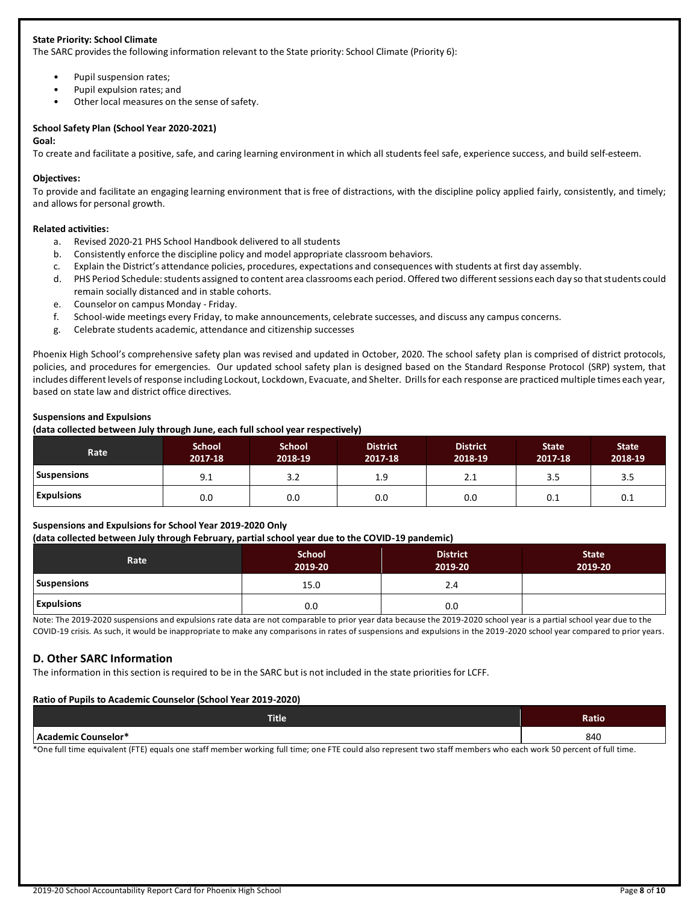# **State Priority: School Climate**

The SARC provides the following information relevant to the State priority: School Climate (Priority 6):

- Pupil suspension rates;
- Pupil expulsion rates; and
- Other local measures on the sense of safety.

# **School Safety Plan (School Year 2020-2021)**

#### **Goal:**

To create and facilitate a positive, safe, and caring learning environment in which all students feel safe, experience success, and build self-esteem.

#### **Objectives:**

To provide and facilitate an engaging learning environment that is free of distractions, with the discipline policy applied fairly, consistently, and timely; and allows for personal growth.

#### **Related activities:**

- a. Revised 2020-21 PHS School Handbook delivered to all students
- b. Consistently enforce the discipline policy and model appropriate classroom behaviors.
- c. Explain the District's attendance policies, procedures, expectations and consequences with students at first day assembly.
- d. PHS Period Schedule: students assigned to content area classrooms each period. Offered two different sessions each day so that students could remain socially distanced and in stable cohorts.
- e. Counselor on campus Monday Friday.
- f. School-wide meetings every Friday, to make announcements, celebrate successes, and discuss any campus concerns.
- g. Celebrate students academic, attendance and citizenship successes

Phoenix High School's comprehensive safety plan was revised and updated in October, 2020. The school safety plan is comprised of district protocols, policies, and procedures for emergencies. Our updated school safety plan is designed based on the Standard Response Protocol (SRP) system, that includes different levels of response including Lockout, Lockdown, Evacuate, and Shelter. Drills for each response are practiced multiple times each year, based on state law and district office directives.

#### **Suspensions and Expulsions**

**(data collected between July through June, each full school year respectively)**

| <b>Rate</b>        | <b>School</b><br>2017-18 | <b>School</b><br>2018-19 | <b>District</b><br>2017-18 | <b>District</b><br>2018-19 | <b>State</b><br>2017-18 | <b>State</b><br>2018-19 |
|--------------------|--------------------------|--------------------------|----------------------------|----------------------------|-------------------------|-------------------------|
| <b>Suspensions</b> | 9.1                      | 3.2                      | 1.9                        | 2.1                        | 3.5                     | 3.5                     |
| <b>Expulsions</b>  | 0.0                      | 0.0                      | 0.0                        | 0.0                        | 0.1                     | 0.1                     |

# **Suspensions and Expulsions for School Year 2019-2020 Only**

**(data collected between July through February, partial school year due to the COVID-19 pandemic)**

| Rate               | <b>School</b><br>2019-20 | <b>District</b><br>2019-20 | <b>State</b><br>2019-20 |
|--------------------|--------------------------|----------------------------|-------------------------|
| <b>Suspensions</b> | 15.0                     | 2.4                        |                         |
| <b>Expulsions</b>  | 0.0                      | 0.0                        |                         |

Note: The 2019-2020 suspensions and expulsions rate data are not comparable to prior year data because the 2019-2020 school year is a partial school year due to the COVID-19 crisis. As such, it would be inappropriate to make any comparisons in rates of suspensions and expulsions in the 2019-2020 school year compared to prior years.

# **D. Other SARC Information**

The information in this section is required to be in the SARC but is not included in the state priorities for LCFF.

#### **Ratio of Pupils to Academic Counselor (School Year 2019-2020)**

| <b>Title</b>                                              | <b>Ratio</b>                               |
|-----------------------------------------------------------|--------------------------------------------|
| Academic Counselor*                                       | 840                                        |
| .<br>$\sim$ $\sim$ $\sim$ $\sim$ $\sim$<br>.<br>.<br>____ | $\sim$ $\sim$ $\sim$ $\sim$<br>$\sim$ $ -$ |

\*One full time equivalent (FTE) equals one staff member working full time; one FTE could also represent two staff members who each work 50 percent of full time.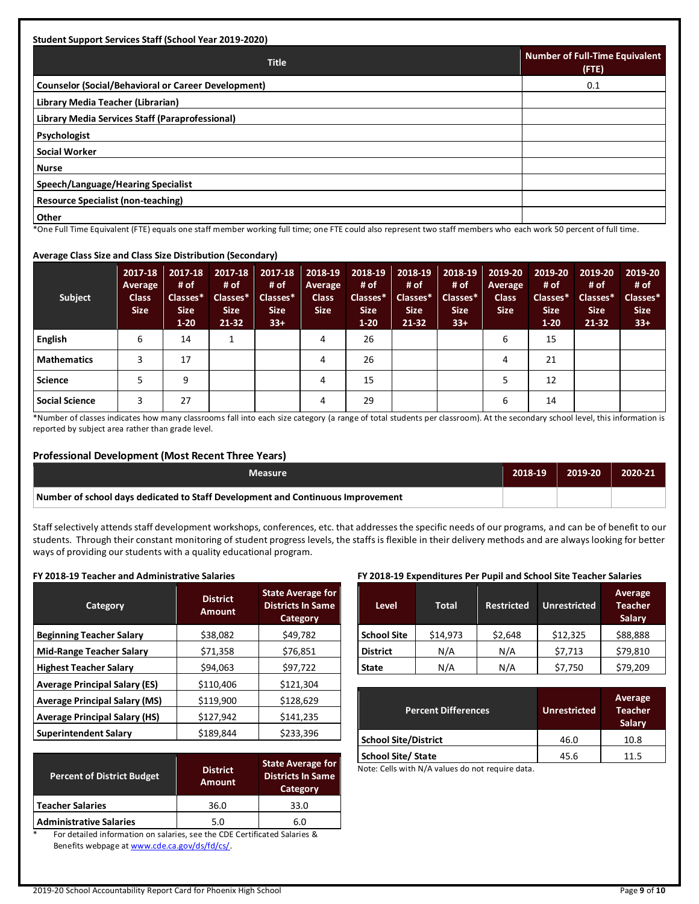| <b>Student Support Services Staff (School Year 2019-2020)</b>                       |                                                |  |  |  |  |
|-------------------------------------------------------------------------------------|------------------------------------------------|--|--|--|--|
| <b>Title</b>                                                                        | <b>Number of Full-Time Equivalent</b><br>(FTE) |  |  |  |  |
| Counselor (Social/Behavioral or Career Development)                                 | 0.1                                            |  |  |  |  |
| Library Media Teacher (Librarian)                                                   |                                                |  |  |  |  |
| Library Media Services Staff (Paraprofessional)                                     |                                                |  |  |  |  |
| <b>Psychologist</b>                                                                 |                                                |  |  |  |  |
| Social Worker                                                                       |                                                |  |  |  |  |
| <b>Nurse</b>                                                                        |                                                |  |  |  |  |
| Speech/Language/Hearing Specialist                                                  |                                                |  |  |  |  |
| <b>Resource Specialist (non-teaching)</b>                                           |                                                |  |  |  |  |
| Other<br>$-1$<br>$\sim$ $\sim$ $\sim$ $\sim$<br>________<br>$\cdot$ $\cdot$ $\cdot$ | .                                              |  |  |  |  |

\*One Full Time Equivalent (FTE) equals one staff member working full time; one FTE could also represent two staff members who each work 50 percent of full time.

#### **Average Class Size and Class Size Distribution (Secondary)**

| Subject               | 2017-18<br>Average<br><b>Class</b><br><b>Size</b> | 2017-18<br># of<br>Classes*<br><b>Size</b><br>$1 - 20$ | 2017-18<br># of<br>Classes*<br><b>Size</b><br>$21-32$ | # of<br>Classes*<br><b>Size</b><br>$33+$ | 2017-18   2018-19<br>Average<br><b>Class</b><br><b>Size</b> | 2018-19<br># of<br>Classes*<br><b>Size</b><br>$1-20$ | 2018-19<br># of<br>Classes*<br><b>Size</b><br>$21 - 32$ | 2018-19<br># of<br>Classes*<br>Size.<br>$33+$ | 2019-20<br><b>Average</b><br><b>Class</b><br><b>Size</b> | 2019-20<br># of<br>Classes*<br>Size.<br>$1-20$ | 2019-20<br># of<br>Classes*<br><b>Size</b><br>21-32 | 2019-20<br># of<br>Classes*<br><b>Size</b><br>$33+$ |
|-----------------------|---------------------------------------------------|--------------------------------------------------------|-------------------------------------------------------|------------------------------------------|-------------------------------------------------------------|------------------------------------------------------|---------------------------------------------------------|-----------------------------------------------|----------------------------------------------------------|------------------------------------------------|-----------------------------------------------------|-----------------------------------------------------|
| <b>English</b>        | 6                                                 | 14                                                     | 1                                                     |                                          | 4                                                           | 26                                                   |                                                         |                                               | 6                                                        | 15                                             |                                                     |                                                     |
| <b>Mathematics</b>    |                                                   | 17                                                     |                                                       |                                          | 4                                                           | 26                                                   |                                                         |                                               | 4                                                        | 21                                             |                                                     |                                                     |
| <b>Science</b>        |                                                   | 9                                                      |                                                       |                                          | 4                                                           | 15                                                   |                                                         |                                               |                                                          | 12                                             |                                                     |                                                     |
| <b>Social Science</b> |                                                   | 27                                                     |                                                       |                                          | 4                                                           | 29                                                   |                                                         |                                               | 6                                                        | 14                                             |                                                     |                                                     |

\*Number of classes indicates how many classrooms fall into each size category (a range of total students per classroom). At the secondary school level, this information is reported by subject area rather than grade level.

# **Professional Development (Most Recent Three Years)**

| Measure                                                                         | 2018-19 | $2019-20$ | 2020-21 |
|---------------------------------------------------------------------------------|---------|-----------|---------|
| Number of school days dedicated to Staff Development and Continuous Improvement |         |           |         |

Staff selectively attends staff development workshops, conferences, etc. that addresses the specific needs of our programs, and can be of benefit to our students. Through their constant monitoring of student progress levels, the staffs is flexible in their delivery methods and are always looking for better ways of providing our students with a quality educational program.

#### **FY 2018-19 Teacher and Administrative Salaries**

| Category                             | <b>District</b><br>Amount | <b>State Average for</b><br><b>Districts In Same</b><br><b>Category</b> |  |
|--------------------------------------|---------------------------|-------------------------------------------------------------------------|--|
| <b>Beginning Teacher Salary</b>      | \$38,082                  | \$49,782                                                                |  |
| <b>Mid-Range Teacher Salary</b>      | \$71,358                  | \$76,851                                                                |  |
| <b>Highest Teacher Salary</b>        | \$94,063                  | \$97,722                                                                |  |
| <b>Average Principal Salary (ES)</b> | \$110,406                 | \$121,304                                                               |  |
| <b>Average Principal Salary (MS)</b> | \$119,900                 | \$128,629                                                               |  |
| <b>Average Principal Salary (HS)</b> | \$127,942                 | \$141,235                                                               |  |
| <b>Superintendent Salary</b>         | \$189,844                 | \$233,396                                                               |  |

| <b>Percent of District Budget</b> | <b>District</b><br><b>Amount</b> | <b>State Average for</b><br><b>Districts In Same</b><br>Category |
|-----------------------------------|----------------------------------|------------------------------------------------------------------|
| <b>Teacher Salaries</b>           | 36.0                             | 33.0                                                             |
| <b>Administrative Salaries</b>    | 5.0                              | 6.0                                                              |

For detailed information on salaries, see the CDE Certificated Salaries & Benefits webpage at [www.cde.ca.gov/ds/fd/cs/.](http://www.cde.ca.gov/ds/fd/cs/)

#### **FY 2018-19 Expenditures Per Pupil and School Site Teacher Salaries**

| <b>Level</b>       | <b>Restricted</b><br><b>Total</b> |         | <b>Unrestricted</b> | Average<br><b>Teacher</b><br>Salary |
|--------------------|-----------------------------------|---------|---------------------|-------------------------------------|
| <b>School Site</b> | \$14,973                          | \$2,648 | \$12,325            | \$88,888                            |
| <b>District</b>    | N/A                               | N/A     | \$7,713             | \$79,810                            |
| <b>State</b>       | N/A                               | N/A     | \$7,750             | \$79,209                            |

| <b>Percent Differences</b>  | <b>Unrestricted</b> | Average<br><b>Teacher</b><br>Salary |
|-----------------------------|---------------------|-------------------------------------|
| <b>School Site/District</b> | 46.0                | 10.8                                |
| <b>School Site/ State</b>   | 45.6                | 11.5                                |

Note: Cells with N/A values do not require data.